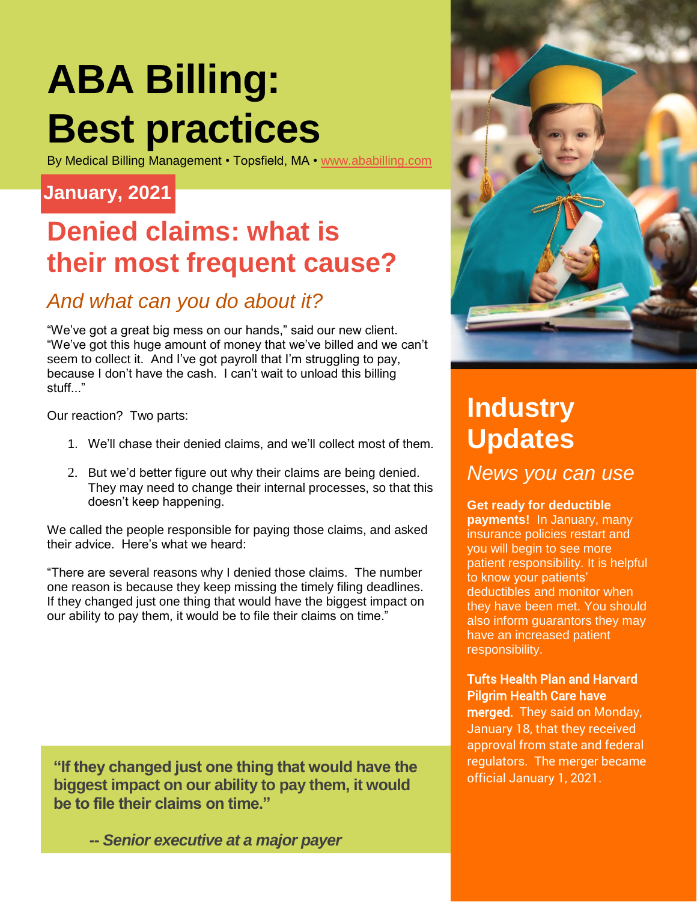# **ABA Billing: Best practices**

By Medical Billing Management • Topsfield, MA • [www.ababilling.com](http://www.ababilling.com/)

#### **January, 2021**

### **Denied claims: what is their most frequent cause?**

#### *And what can you do about it?*

"We've got a great big mess on our hands," said our new client. "We've got this huge amount of money that we've billed and we can't seem to collect it. And I've got payroll that I'm struggling to pay, because I don't have the cash. I can't wait to unload this billing stuff..."

Our reaction? Two parts:

- 1. We'll chase their denied claims, and we'll collect most of them.
- 2. But we'd better figure out why their claims are being denied. They may need to change their internal processes, so that this doesn't keep happening.

We called the people responsible for paying those claims, and asked their advice. Here's what we heard:

"There are several reasons why I denied those claims. The number one reason is because they keep missing the timely filing deadlines. If they changed just one thing that would have the biggest impact on our ability to pay them, it would be to file their claims on time."

**"If they changed just one thing that would have the biggest impact on our ability to pay them, it would be to file their claims on time."**

 **--** *Senior executive at a major payer*



### **Industry Updates**

*News you can use*

**Get ready for deductible payments!** In January, many insurance policies restart and you will begin to see more patient responsibility. It is helpful to know your patients' deductibles and monitor when they have been met. You should also inform guarantors they may have an increased patient responsibility.

#### Tufts Health Plan and Harvard Pilgrim Health Care have

merged. They said on Monday, January 18, that they received approval from state and federal regulators. The merger became official January 1, 2021.